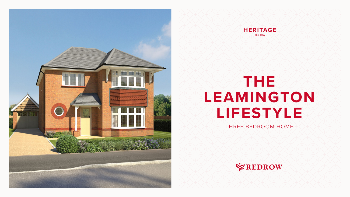# **THE LEAMINGTON LIFESTYLE**

### THREE BEDROOM HOME







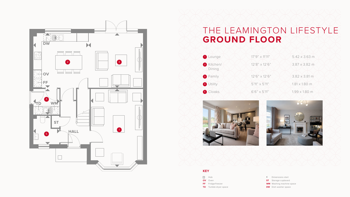### THE LEAMINGTON LIFESTYLE **GROUND FLOOR**







- Dimensions start
- **ST** Storage cupboard
- **WM** Washing machine space
- **DW** Dish washer space





#### **KEY**

- **SOLUTE:**
- **OV** Oven
- **FF** Fridge/freezer
- **TD** Tumble dryer space